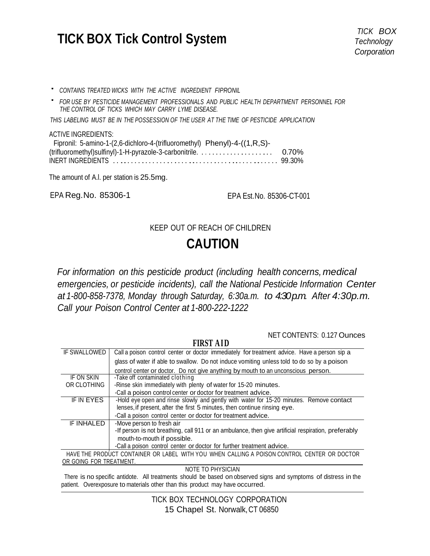# **TICK BOX Tick Control System** *TICK BOX Technology*

*Technology Corporation*

- ' *CONTAINS TREATED WICKS WITH THE ACTIVE INGREDIENT FIPRONIL*
- ' *FOR USE BY PESTICIDE MANAGEMENT PROFESSIONALS AND PUBLIC HEALTH DEPARTMENT PERSONNEL FOR THE CONTROL OF TICKS WHICH MAY CARRY LYME DISEASE.*

*THIS LABELING MUST BE IN THE POSSESSION OF THE USER AT THE TIME OF PESTICIDE APPLICATION*

#### ACTIVE INGREDIENTS:

| Fipronil: 5-amino-1-(2,6-dichloro-4-(trifluoromethyl) Phenyl)-4-((1,R,S)- |  |
|---------------------------------------------------------------------------|--|
|                                                                           |  |
|                                                                           |  |

The amount of A.l. per station is 25.5mg.

EPA Reg.No. 85306-1 EPA Est.No. 85306-CT-001

### KEEP OUT OF REACH OF CHILDREN

## **CAUTION**

*For information on this pesticide product (including health concerns, medical emergencies, or pesticide incidents), call the National Pesticide Information Center at 1-800-858-7378, Monday through Saturday, 6:30a.m. to 4:30p.m. After 4:30p.m. Call your Poison Control Center at 1-800-222-1222*

NET CONTENTS: 0.127 Ounces

| IF SWALLOWED                                                                                | Call a poison control center or doctor immediately for treatment advice. Have a person sip a        |
|---------------------------------------------------------------------------------------------|-----------------------------------------------------------------------------------------------------|
|                                                                                             | glass of water if able to swallow. Do not induce vomiting unless told to do so by a poison          |
|                                                                                             | control center or doctor. Do not give anything by mouth to an unconscious person.                   |
| IF ON SKIN                                                                                  | -Take off contaminated clothing                                                                     |
| OR CLOTHING                                                                                 | -Rinse skin immediately with plenty of water for 15-20 minutes.                                     |
|                                                                                             | -Call a poison control center or doctor for treatment advice.                                       |
| <b>IF IN EYES</b>                                                                           | -Hold eye open and rinse slowly and gently with water for 15-20 minutes. Remove contact             |
|                                                                                             | lenses, if present, after the first 5 minutes, then continue rinsing eye.                           |
|                                                                                             | -Call a poison control center or doctor for treatment advice.                                       |
| IF INHALED                                                                                  | -Move person to fresh air                                                                           |
|                                                                                             | -If person is not breathing, call 911 or an ambulance, then give artificial respiration, preferably |
|                                                                                             | mouth-to-mouth if possible.                                                                         |
|                                                                                             | -Call a poison control center or doctor for further treatment advice.                               |
| HAVE THE PRODUCT CONTAINER OR LABEL WITH YOU WHEN CALLING A POISON CONTROL CENTER OR DOCTOR |                                                                                                     |
| OR GOING FOR TREATMENT.                                                                     |                                                                                                     |

**FIDST AID** 

NOTE TO PHYSICIAN

There is no specific antidote. All treatments should be based on observed signs and symptoms of distress in the patient. Overexposure to materials other than this product may have occurred.

> TICK BOX TECHNOLOGY CORPORATION 15 Chapel St. Norwalk,CT 06850